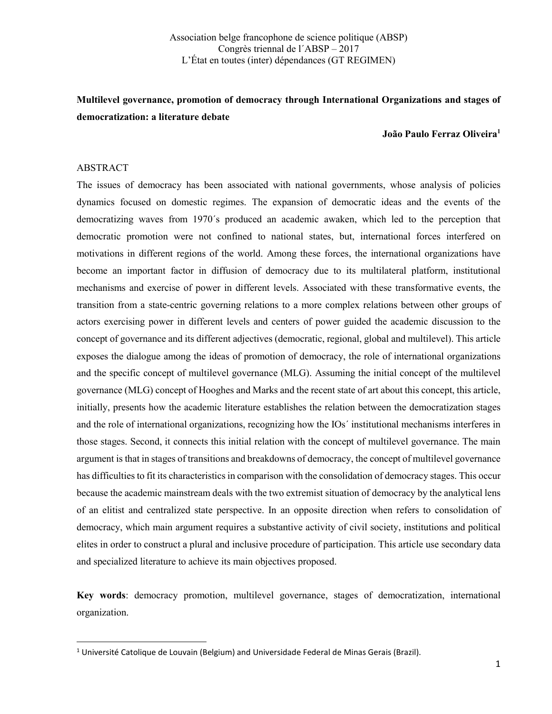## Multilevel governance, promotion of democracy through International Organizations and stages of democratization: a literature debate

#### João Paulo Ferraz Oliveira<sup>1</sup>

#### ABSTRACT

The issues of democracy has been associated with national governments, whose analysis of policies dynamics focused on domestic regimes. The expansion of democratic ideas and the events of the democratizing waves from 1970´s produced an academic awaken, which led to the perception that democratic promotion were not confined to national states, but, international forces interfered on motivations in different regions of the world. Among these forces, the international organizations have become an important factor in diffusion of democracy due to its multilateral platform, institutional mechanisms and exercise of power in different levels. Associated with these transformative events, the transition from a state-centric governing relations to a more complex relations between other groups of actors exercising power in different levels and centers of power guided the academic discussion to the concept of governance and its different adjectives (democratic, regional, global and multilevel). This article exposes the dialogue among the ideas of promotion of democracy, the role of international organizations and the specific concept of multilevel governance (MLG). Assuming the initial concept of the multilevel governance (MLG) concept of Hooghes and Marks and the recent state of art about this concept, this article, initially, presents how the academic literature establishes the relation between the democratization stages and the role of international organizations, recognizing how the IOs´ institutional mechanisms interferes in those stages. Second, it connects this initial relation with the concept of multilevel governance. The main argument is that in stages of transitions and breakdowns of democracy, the concept of multilevel governance has difficulties to fit its characteristics in comparison with the consolidation of democracy stages. This occur because the academic mainstream deals with the two extremist situation of democracy by the analytical lens of an elitist and centralized state perspective. In an opposite direction when refers to consolidation of democracy, which main argument requires a substantive activity of civil society, institutions and political elites in order to construct a plural and inclusive procedure of participation. This article use secondary data and specialized literature to achieve its main objectives proposed.

Key words: democracy promotion, multilevel governance, stages of democratization, international organization.

 $1$  Université Catolique de Louvain (Belgium) and Universidade Federal de Minas Gerais (Brazil).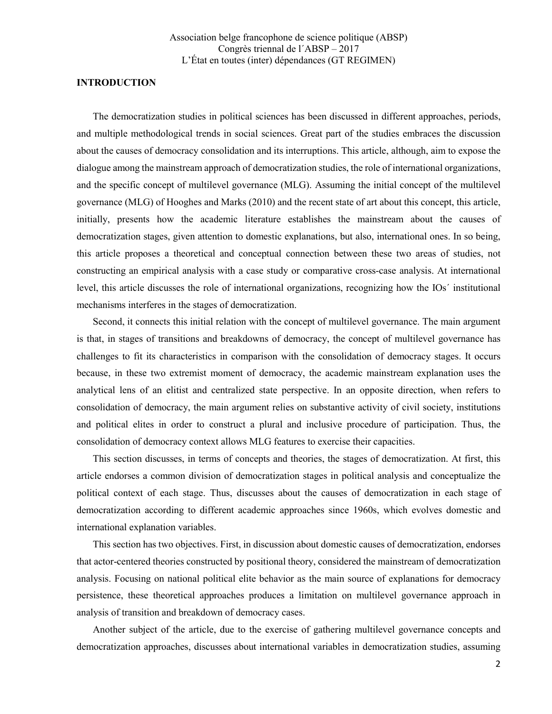#### INTRODUCTION

The democratization studies in political sciences has been discussed in different approaches, periods, and multiple methodological trends in social sciences. Great part of the studies embraces the discussion about the causes of democracy consolidation and its interruptions. This article, although, aim to expose the dialogue among the mainstream approach of democratization studies, the role of international organizations, and the specific concept of multilevel governance (MLG). Assuming the initial concept of the multilevel governance (MLG) of Hooghes and Marks (2010) and the recent state of art about this concept, this article, initially, presents how the academic literature establishes the mainstream about the causes of democratization stages, given attention to domestic explanations, but also, international ones. In so being, this article proposes a theoretical and conceptual connection between these two areas of studies, not constructing an empirical analysis with a case study or comparative cross-case analysis. At international level, this article discusses the role of international organizations, recognizing how the IOs´ institutional mechanisms interferes in the stages of democratization.

Second, it connects this initial relation with the concept of multilevel governance. The main argument is that, in stages of transitions and breakdowns of democracy, the concept of multilevel governance has challenges to fit its characteristics in comparison with the consolidation of democracy stages. It occurs because, in these two extremist moment of democracy, the academic mainstream explanation uses the analytical lens of an elitist and centralized state perspective. In an opposite direction, when refers to consolidation of democracy, the main argument relies on substantive activity of civil society, institutions and political elites in order to construct a plural and inclusive procedure of participation. Thus, the consolidation of democracy context allows MLG features to exercise their capacities.

This section discusses, in terms of concepts and theories, the stages of democratization. At first, this article endorses a common division of democratization stages in political analysis and conceptualize the political context of each stage. Thus, discusses about the causes of democratization in each stage of democratization according to different academic approaches since 1960s, which evolves domestic and international explanation variables.

This section has two objectives. First, in discussion about domestic causes of democratization, endorses that actor-centered theories constructed by positional theory, considered the mainstream of democratization analysis. Focusing on national political elite behavior as the main source of explanations for democracy persistence, these theoretical approaches produces a limitation on multilevel governance approach in analysis of transition and breakdown of democracy cases.

Another subject of the article, due to the exercise of gathering multilevel governance concepts and democratization approaches, discusses about international variables in democratization studies, assuming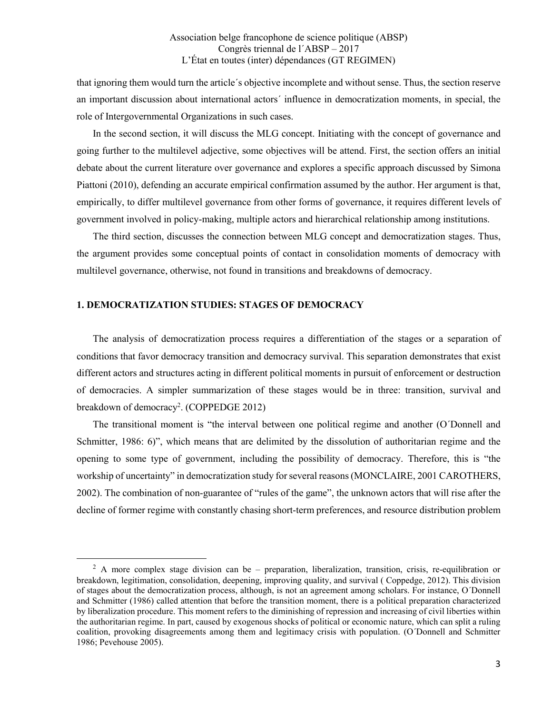that ignoring them would turn the article´s objective incomplete and without sense. Thus, the section reserve an important discussion about international actors´ influence in democratization moments, in special, the role of Intergovernmental Organizations in such cases.

In the second section, it will discuss the MLG concept. Initiating with the concept of governance and going further to the multilevel adjective, some objectives will be attend. First, the section offers an initial debate about the current literature over governance and explores a specific approach discussed by Simona Piattoni (2010), defending an accurate empirical confirmation assumed by the author. Her argument is that, empirically, to differ multilevel governance from other forms of governance, it requires different levels of government involved in policy-making, multiple actors and hierarchical relationship among institutions.

The third section, discusses the connection between MLG concept and democratization stages. Thus, the argument provides some conceptual points of contact in consolidation moments of democracy with multilevel governance, otherwise, not found in transitions and breakdowns of democracy.

### 1. DEMOCRATIZATION STUDIES: STAGES OF DEMOCRACY

**.** 

The analysis of democratization process requires a differentiation of the stages or a separation of conditions that favor democracy transition and democracy survival. This separation demonstrates that exist different actors and structures acting in different political moments in pursuit of enforcement or destruction of democracies. A simpler summarization of these stages would be in three: transition, survival and breakdown of democracy<sup>2</sup>. (COPPEDGE 2012)

The transitional moment is "the interval between one political regime and another (O´Donnell and Schmitter, 1986: 6)", which means that are delimited by the dissolution of authoritarian regime and the opening to some type of government, including the possibility of democracy. Therefore, this is "the workship of uncertainty" in democratization study for several reasons(MONCLAIRE, 2001 CAROTHERS, 2002). The combination of non-guarantee of "rules of the game", the unknown actors that will rise after the decline of former regime with constantly chasing short-term preferences, and resource distribution problem

<sup>&</sup>lt;sup>2</sup> A more complex stage division can be – preparation, liberalization, transition, crisis, re-equilibration or breakdown, legitimation, consolidation, deepening, improving quality, and survival ( Coppedge, 2012). This division of stages about the democratization process, although, is not an agreement among scholars. For instance, O´Donnell and Schmitter (1986) called attention that before the transition moment, there is a political preparation characterized by liberalization procedure. This moment refers to the diminishing of repression and increasing of civil liberties within the authoritarian regime. In part, caused by exogenous shocks of political or economic nature, which can split a ruling coalition, provoking disagreements among them and legitimacy crisis with population. (O´Donnell and Schmitter 1986; Pevehouse 2005).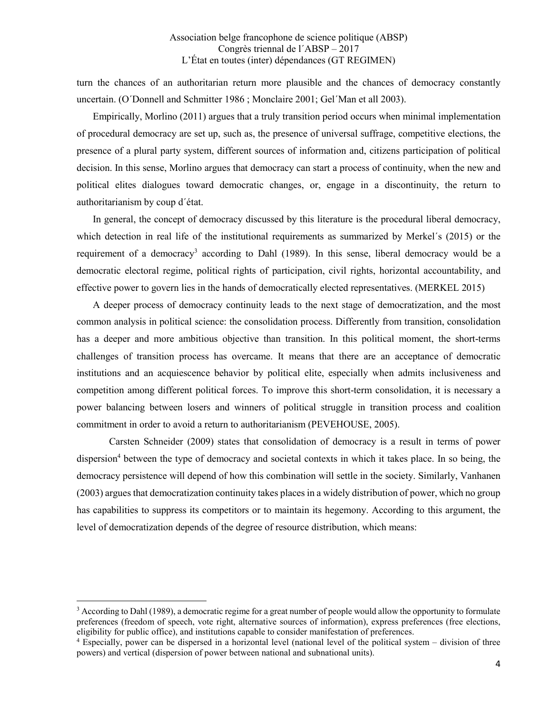turn the chances of an authoritarian return more plausible and the chances of democracy constantly uncertain. (O´Donnell and Schmitter 1986 ; Monclaire 2001; Gel´Man et all 2003).

Empirically, Morlino (2011) argues that a truly transition period occurs when minimal implementation of procedural democracy are set up, such as, the presence of universal suffrage, competitive elections, the presence of a plural party system, different sources of information and, citizens participation of political decision. In this sense, Morlino argues that democracy can start a process of continuity, when the new and political elites dialogues toward democratic changes, or, engage in a discontinuity, the return to authoritarianism by coup d´état.

In general, the concept of democracy discussed by this literature is the procedural liberal democracy, which detection in real life of the institutional requirements as summarized by Merkel´s (2015) or the requirement of a democracy<sup>3</sup> according to Dahl (1989). In this sense, liberal democracy would be a democratic electoral regime, political rights of participation, civil rights, horizontal accountability, and effective power to govern lies in the hands of democratically elected representatives. (MERKEL 2015)

A deeper process of democracy continuity leads to the next stage of democratization, and the most common analysis in political science: the consolidation process. Differently from transition, consolidation has a deeper and more ambitious objective than transition. In this political moment, the short-terms challenges of transition process has overcame. It means that there are an acceptance of democratic institutions and an acquiescence behavior by political elite, especially when admits inclusiveness and competition among different political forces. To improve this short-term consolidation, it is necessary a power balancing between losers and winners of political struggle in transition process and coalition commitment in order to avoid a return to authoritarianism (PEVEHOUSE, 2005).

Carsten Schneider (2009) states that consolidation of democracy is a result in terms of power dispersion<sup>4</sup> between the type of democracy and societal contexts in which it takes place. In so being, the democracy persistence will depend of how this combination will settle in the society. Similarly, Vanhanen (2003) argues that democratization continuity takes places in a widely distribution of power, which no group has capabilities to suppress its competitors or to maintain its hegemony. According to this argument, the level of democratization depends of the degree of resource distribution, which means:

**.** 

 $3$  According to Dahl (1989), a democratic regime for a great number of people would allow the opportunity to formulate preferences (freedom of speech, vote right, alternative sources of information), express preferences (free elections, eligibility for public office), and institutions capable to consider manifestation of preferences.<br><sup>4</sup> Especially, power can be dispersed in a horizontal level (national level of the political system – division of three

powers) and vertical (dispersion of power between national and subnational units).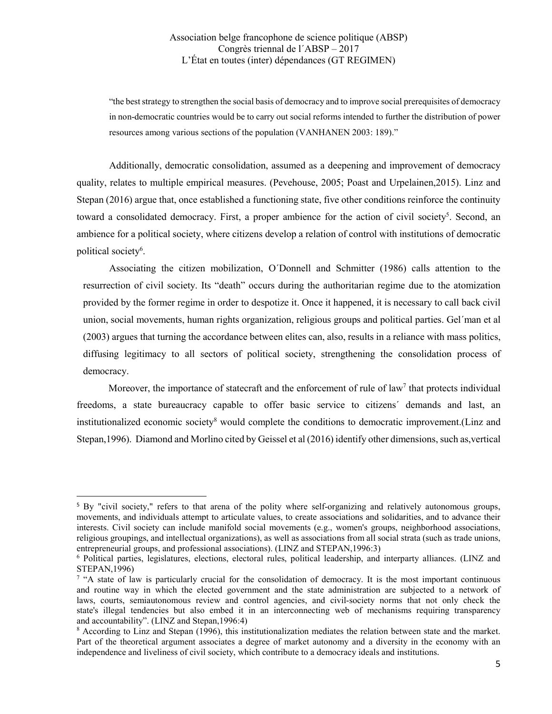"the best strategy to strengthen the social basis of democracy and to improve social prerequisites of democracy in non-democratic countries would be to carry out social reforms intended to further the distribution of power resources among various sections of the population (VANHANEN 2003: 189)."

Additionally, democratic consolidation, assumed as a deepening and improvement of democracy quality, relates to multiple empirical measures. (Pevehouse, 2005; Poast and Urpelainen,2015). Linz and Stepan (2016) argue that, once established a functioning state, five other conditions reinforce the continuity toward a consolidated democracy. First, a proper ambience for the action of civil society<sup>5</sup>. Second, an ambience for a political society, where citizens develop a relation of control with institutions of democratic political society<sup>6</sup>.

Associating the citizen mobilization, O´Donnell and Schmitter (1986) calls attention to the resurrection of civil society. Its "death" occurs during the authoritarian regime due to the atomization provided by the former regime in order to despotize it. Once it happened, it is necessary to call back civil union, social movements, human rights organization, religious groups and political parties. Gel´man et al (2003) argues that turning the accordance between elites can, also, results in a reliance with mass politics, diffusing legitimacy to all sectors of political society, strengthening the consolidation process of democracy.

Moreover, the importance of statecraft and the enforcement of rule of law<sup>7</sup> that protects individual freedoms, a state bureaucracy capable to offer basic service to citizens´ demands and last, an institutionalized economic society<sup>8</sup> would complete the conditions to democratic improvement.(Linz and Stepan,1996). Diamond and Morlino cited by Geissel et al (2016) identify other dimensions, such as,vertical

<sup>&</sup>lt;sup>5</sup> By "civil society," refers to that arena of the polity where self-organizing and relatively autonomous groups, movements, and individuals attempt to articulate values, to create associations and solidarities, and to advance their interests. Civil society can include manifold social movements (e.g., women's groups, neighborhood associations, religious groupings, and intellectual organizations), as well as associations from all social strata (such as trade unions, entrepreneurial groups, and professional associations). (LINZ and STEPAN,1996:3)

<sup>6</sup> Political parties, legislatures, elections, electoral rules, political leadership, and interparty alliances. (LINZ and STEPAN,1996)<br><sup>7</sup> "A state of law is particularly crucial for the consolidation of democracy. It is the most important continuous

and routine way in which the elected government and the state administration are subjected to a network of laws, courts, semiautonomous review and control agencies, and civil-society norms that not only check the state's illegal tendencies but also embed it in an interconnecting web of mechanisms requiring transparency and accountability". (LINZ and Stepan,1996:4)

<sup>&</sup>lt;sup>8</sup> According to Linz and Stepan (1996), this institutionalization mediates the relation between state and the market. Part of the theoretical argument associates a degree of market autonomy and a diversity in the economy with an independence and liveliness of civil society, which contribute to a democracy ideals and institutions.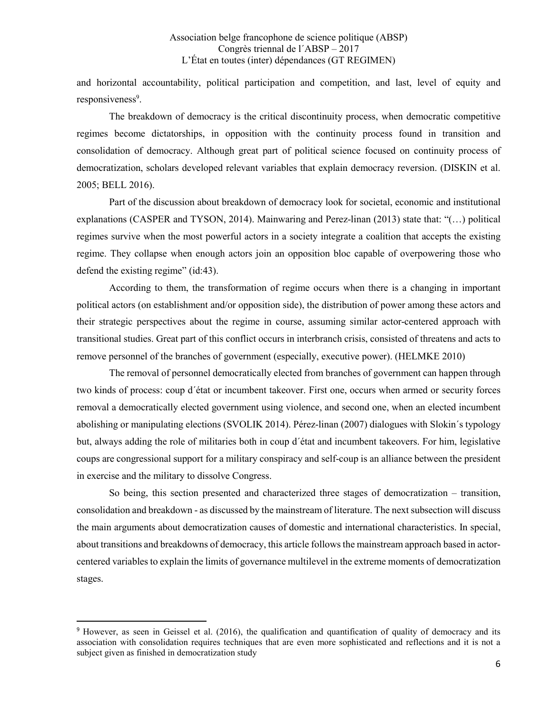and horizontal accountability, political participation and competition, and last, level of equity and responsiveness<sup>9</sup>.

The breakdown of democracy is the critical discontinuity process, when democratic competitive regimes become dictatorships, in opposition with the continuity process found in transition and consolidation of democracy. Although great part of political science focused on continuity process of democratization, scholars developed relevant variables that explain democracy reversion. (DISKIN et al. 2005; BELL 2016).

Part of the discussion about breakdown of democracy look for societal, economic and institutional explanations (CASPER and TYSON, 2014). Mainwaring and Perez-linan (2013) state that: "(…) political regimes survive when the most powerful actors in a society integrate a coalition that accepts the existing regime. They collapse when enough actors join an opposition bloc capable of overpowering those who defend the existing regime" (id:43).

According to them, the transformation of regime occurs when there is a changing in important political actors (on establishment and/or opposition side), the distribution of power among these actors and their strategic perspectives about the regime in course, assuming similar actor-centered approach with transitional studies. Great part of this conflict occurs in interbranch crisis, consisted of threatens and acts to remove personnel of the branches of government (especially, executive power). (HELMKE 2010)

The removal of personnel democratically elected from branches of government can happen through two kinds of process: coup d´état or incumbent takeover. First one, occurs when armed or security forces removal a democratically elected government using violence, and second one, when an elected incumbent abolishing or manipulating elections (SVOLIK 2014). Pérez-linan (2007) dialogues with Slokin´s typology but, always adding the role of militaries both in coup d´état and incumbent takeovers. For him, legislative coups are congressional support for a military conspiracy and self-coup is an alliance between the president in exercise and the military to dissolve Congress.

So being, this section presented and characterized three stages of democratization – transition, consolidation and breakdown - as discussed by the mainstream of literature. The next subsection will discuss the main arguments about democratization causes of domestic and international characteristics. In special, about transitions and breakdowns of democracy, this article follows the mainstream approach based in actorcentered variables to explain the limits of governance multilevel in the extreme moments of democratization stages.

 <sup>9</sup> However, as seen in Geissel et al. (2016), the qualification and quantification of quality of democracy and its association with consolidation requires techniques that are even more sophisticated and reflections and it is not a subject given as finished in democratization study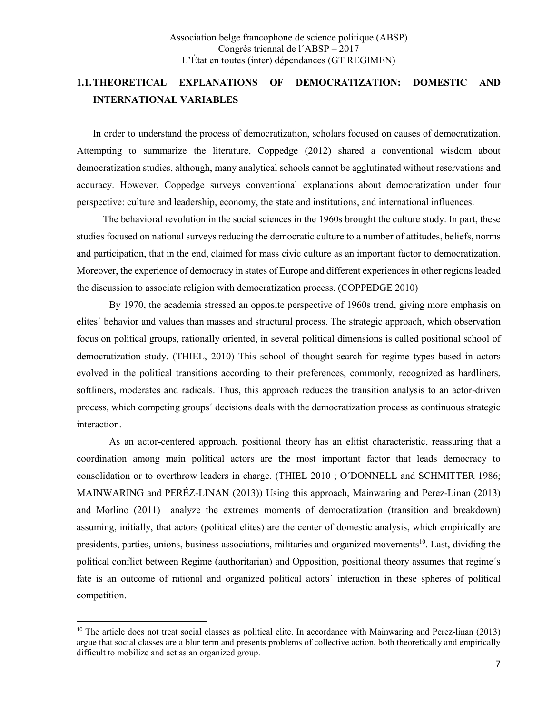## 1.1.THEORETICAL EXPLANATIONS OF DEMOCRATIZATION: DOMESTIC AND INTERNATIONAL VARIABLES

In order to understand the process of democratization, scholars focused on causes of democratization. Attempting to summarize the literature, Coppedge (2012) shared a conventional wisdom about democratization studies, although, many analytical schools cannot be agglutinated without reservations and accuracy. However, Coppedge surveys conventional explanations about democratization under four perspective: culture and leadership, economy, the state and institutions, and international influences.

 The behavioral revolution in the social sciences in the 1960s brought the culture study. In part, these studies focused on national surveys reducing the democratic culture to a number of attitudes, beliefs, norms and participation, that in the end, claimed for mass civic culture as an important factor to democratization. Moreover, the experience of democracy in states of Europe and different experiences in other regions leaded the discussion to associate religion with democratization process. (COPPEDGE 2010)

By 1970, the academia stressed an opposite perspective of 1960s trend, giving more emphasis on elites´ behavior and values than masses and structural process. The strategic approach, which observation focus on political groups, rationally oriented, in several political dimensions is called positional school of democratization study. (THIEL, 2010) This school of thought search for regime types based in actors evolved in the political transitions according to their preferences, commonly, recognized as hardliners, softliners, moderates and radicals. Thus, this approach reduces the transition analysis to an actor-driven process, which competing groups´ decisions deals with the democratization process as continuous strategic interaction.

As an actor-centered approach, positional theory has an elitist characteristic, reassuring that a coordination among main political actors are the most important factor that leads democracy to consolidation or to overthrow leaders in charge. (THIEL 2010 ; O´DONNELL and SCHMITTER 1986; MAINWARING and PERÉZ-LINAN (2013)) Using this approach, Mainwaring and Perez-Linan (2013) and Morlino (2011) analyze the extremes moments of democratization (transition and breakdown) assuming, initially, that actors (political elites) are the center of domestic analysis, which empirically are presidents, parties, unions, business associations, militaries and organized movements<sup>10</sup>. Last, dividing the political conflict between Regime (authoritarian) and Opposition, positional theory assumes that regime´s fate is an outcome of rational and organized political actors´ interaction in these spheres of political competition.

<sup>&</sup>lt;sup>10</sup> The article does not treat social classes as political elite. In accordance with Mainwaring and Perez-linan (2013) argue that social classes are a blur term and presents problems of collective action, both theoretically and empirically difficult to mobilize and act as an organized group.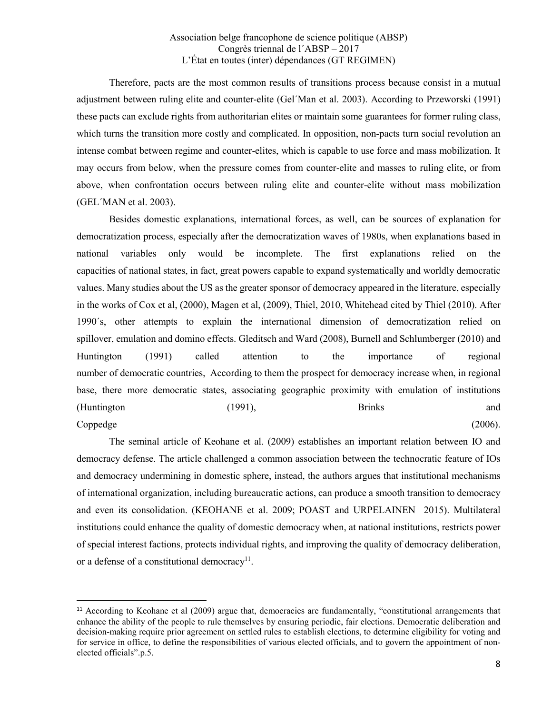Therefore, pacts are the most common results of transitions process because consist in a mutual adjustment between ruling elite and counter-elite (Gel´Man et al. 2003). According to Przeworski (1991) these pacts can exclude rights from authoritarian elites or maintain some guarantees for former ruling class, which turns the transition more costly and complicated. In opposition, non-pacts turn social revolution an intense combat between regime and counter-elites, which is capable to use force and mass mobilization. It may occurs from below, when the pressure comes from counter-elite and masses to ruling elite, or from above, when confrontation occurs between ruling elite and counter-elite without mass mobilization (GEL´MAN et al. 2003).

Besides domestic explanations, international forces, as well, can be sources of explanation for democratization process, especially after the democratization waves of 1980s, when explanations based in national variables only would be incomplete. The first explanations relied on the capacities of national states, in fact, great powers capable to expand systematically and worldly democratic values. Many studies about the US as the greater sponsor of democracy appeared in the literature, especially in the works of Cox et al, (2000), Magen et al, (2009), Thiel, 2010, Whitehead cited by Thiel (2010). After 1990´s, other attempts to explain the international dimension of democratization relied on spillover, emulation and domino effects. Gleditsch and Ward (2008), Burnell and Schlumberger (2010) and Huntington (1991) called attention to the importance of regional number of democratic countries, According to them the prospect for democracy increase when, in regional base, there more democratic states, associating geographic proximity with emulation of institutions (Huntington 1991), Brinks and Coppedge (2006).

 The seminal article of Keohane et al. (2009) establishes an important relation between IO and democracy defense. The article challenged a common association between the technocratic feature of IOs and democracy undermining in domestic sphere, instead, the authors argues that institutional mechanisms of international organization, including bureaucratic actions, can produce a smooth transition to democracy and even its consolidation. (KEOHANE et al. 2009; POAST and URPELAINEN 2015). Multilateral institutions could enhance the quality of domestic democracy when, at national institutions, restricts power of special interest factions, protects individual rights, and improving the quality of democracy deliberation, or a defense of a constitutional democracy<sup>11</sup>.

<sup>&</sup>lt;sup>11</sup> According to Keohane et al (2009) argue that, democracies are fundamentally, "constitutional arrangements that enhance the ability of the people to rule themselves by ensuring periodic, fair elections. Democratic deliberation and decision-making require prior agreement on settled rules to establish elections, to determine eligibility for voting and for service in office, to define the responsibilities of various elected officials, and to govern the appointment of nonelected officials".p.5.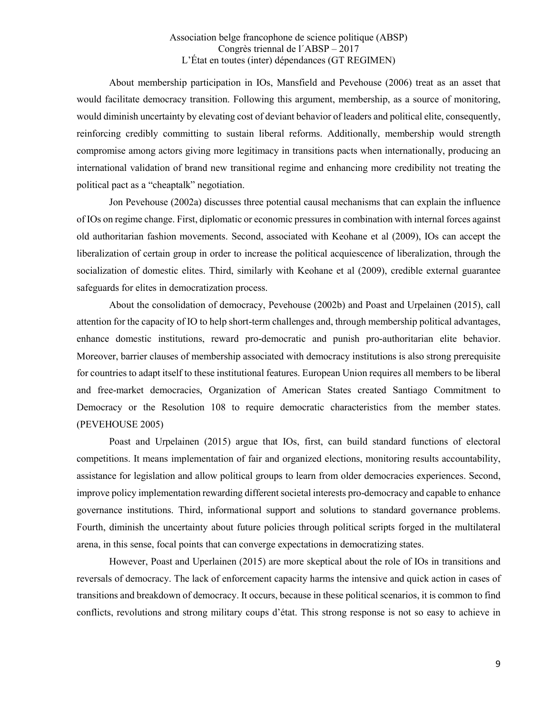About membership participation in IOs, Mansfield and Pevehouse (2006) treat as an asset that would facilitate democracy transition. Following this argument, membership, as a source of monitoring, would diminish uncertainty by elevating cost of deviant behavior of leaders and political elite, consequently, reinforcing credibly committing to sustain liberal reforms. Additionally, membership would strength compromise among actors giving more legitimacy in transitions pacts when internationally, producing an international validation of brand new transitional regime and enhancing more credibility not treating the political pact as a "cheaptalk" negotiation.

Jon Pevehouse (2002a) discusses three potential causal mechanisms that can explain the influence of IOs on regime change. First, diplomatic or economic pressures in combination with internal forces against old authoritarian fashion movements. Second, associated with Keohane et al (2009), IOs can accept the liberalization of certain group in order to increase the political acquiescence of liberalization, through the socialization of domestic elites. Third, similarly with Keohane et al (2009), credible external guarantee safeguards for elites in democratization process.

About the consolidation of democracy, Pevehouse (2002b) and Poast and Urpelainen (2015), call attention for the capacity of IO to help short-term challenges and, through membership political advantages, enhance domestic institutions, reward pro-democratic and punish pro-authoritarian elite behavior. Moreover, barrier clauses of membership associated with democracy institutions is also strong prerequisite for countries to adapt itself to these institutional features. European Union requires all members to be liberal and free-market democracies, Organization of American States created Santiago Commitment to Democracy or the Resolution 108 to require democratic characteristics from the member states. (PEVEHOUSE 2005)

Poast and Urpelainen (2015) argue that IOs, first, can build standard functions of electoral competitions. It means implementation of fair and organized elections, monitoring results accountability, assistance for legislation and allow political groups to learn from older democracies experiences. Second, improve policy implementation rewarding different societal interests pro-democracy and capable to enhance governance institutions. Third, informational support and solutions to standard governance problems. Fourth, diminish the uncertainty about future policies through political scripts forged in the multilateral arena, in this sense, focal points that can converge expectations in democratizing states.

However, Poast and Uperlainen (2015) are more skeptical about the role of IOs in transitions and reversals of democracy. The lack of enforcement capacity harms the intensive and quick action in cases of transitions and breakdown of democracy. It occurs, because in these political scenarios, it is common to find conflicts, revolutions and strong military coups d'état. This strong response is not so easy to achieve in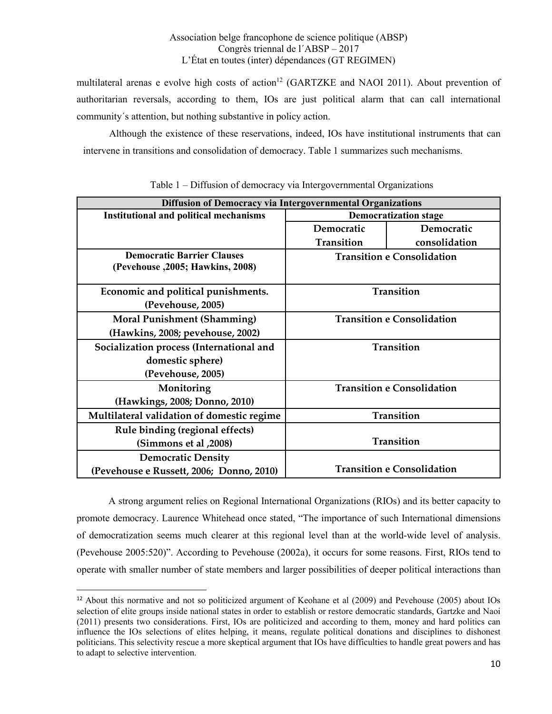multilateral arenas e evolve high costs of action<sup>12</sup> (GARTZKE and NAOI 2011). About prevention of authoritarian reversals, according to them, IOs are just political alarm that can call international community´s attention, but nothing substantive in policy action.

Although the existence of these reservations, indeed, IOs have institutional instruments that can intervene in transitions and consolidation of democracy. Table 1 summarizes such mechanisms.

| <b>Diffusion of Democracy via Intergovernmental Organizations</b>      |                                   |                                   |
|------------------------------------------------------------------------|-----------------------------------|-----------------------------------|
| <b>Institutional and political mechanisms</b>                          | <b>Democratization stage</b>      |                                   |
|                                                                        | Democratic                        | Democratic                        |
|                                                                        | Transition                        | consolidation                     |
| <b>Democratic Barrier Clauses</b><br>(Pevehouse , 2005; Hawkins, 2008) | <b>Transition e Consolidation</b> |                                   |
| Economic and political punishments.<br>(Pevehouse, 2005)               | Transition                        |                                   |
| <b>Moral Punishment (Shamming)</b><br>(Hawkins, 2008; pevehouse, 2002) | <b>Transition e Consolidation</b> |                                   |
| Socialization process (International and                               | Transition                        |                                   |
| domestic sphere)                                                       |                                   |                                   |
| (Pevehouse, 2005)                                                      |                                   |                                   |
| Monitoring                                                             | <b>Transition e Consolidation</b> |                                   |
| (Hawkings, 2008; Donno, 2010)                                          |                                   |                                   |
| Multilateral validation of domestic regime                             | Transition                        |                                   |
| Rule binding (regional effects)                                        |                                   |                                   |
| (2008, Simmons et al.)                                                 | Transition                        |                                   |
| <b>Democratic Density</b>                                              |                                   |                                   |
| (Pevehouse e Russett, 2006; Donno, 2010)                               |                                   | <b>Transition e Consolidation</b> |

Table 1 – Diffusion of democracy via Intergovernmental Organizations

A strong argument relies on Regional International Organizations (RIOs) and its better capacity to promote democracy. Laurence Whitehead once stated, "The importance of such International dimensions of democratization seems much clearer at this regional level than at the world-wide level of analysis. (Pevehouse 2005:520)". According to Pevehouse (2002a), it occurs for some reasons. First, RIOs tend to operate with smaller number of state members and larger possibilities of deeper political interactions than

 <sup>12</sup> About this normative and not so politicized argument of Keohane et al (2009) and Pevehouse (2005) about IOs selection of elite groups inside national states in order to establish or restore democratic standards, Gartzke and Naoi (2011) presents two considerations. First, IOs are politicized and according to them, money and hard politics can influence the IOs selections of elites helping, it means, regulate political donations and disciplines to dishonest politicians. This selectivity rescue a more skeptical argument that IOs have difficulties to handle great powers and has to adapt to selective intervention.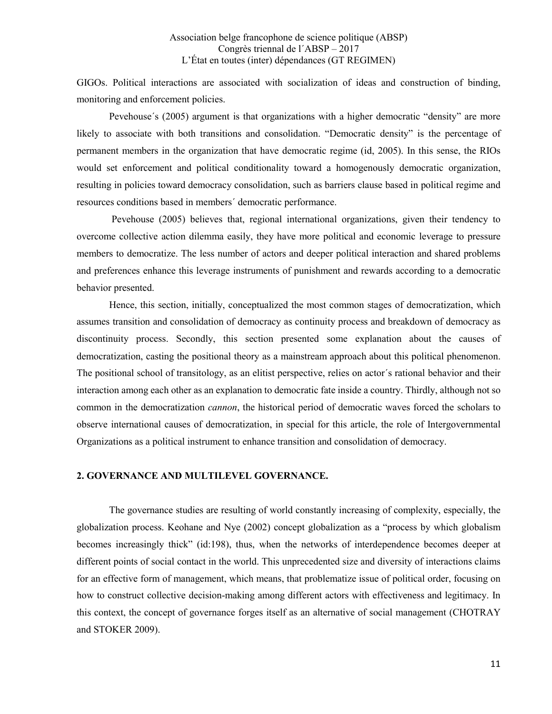GIGOs. Political interactions are associated with socialization of ideas and construction of binding, monitoring and enforcement policies.

Pevehouse´s (2005) argument is that organizations with a higher democratic "density" are more likely to associate with both transitions and consolidation. "Democratic density" is the percentage of permanent members in the organization that have democratic regime (id, 2005). In this sense, the RIOs would set enforcement and political conditionality toward a homogenously democratic organization, resulting in policies toward democracy consolidation, such as barriers clause based in political regime and resources conditions based in members´ democratic performance.

Pevehouse (2005) believes that, regional international organizations, given their tendency to overcome collective action dilemma easily, they have more political and economic leverage to pressure members to democratize. The less number of actors and deeper political interaction and shared problems and preferences enhance this leverage instruments of punishment and rewards according to a democratic behavior presented.

Hence, this section, initially, conceptualized the most common stages of democratization, which assumes transition and consolidation of democracy as continuity process and breakdown of democracy as discontinuity process. Secondly, this section presented some explanation about the causes of democratization, casting the positional theory as a mainstream approach about this political phenomenon. The positional school of transitology, as an elitist perspective, relies on actor´s rational behavior and their interaction among each other as an explanation to democratic fate inside a country. Thirdly, although not so common in the democratization *cannon*, the historical period of democratic waves forced the scholars to observe international causes of democratization, in special for this article, the role of Intergovernmental Organizations as a political instrument to enhance transition and consolidation of democracy.

### 2. GOVERNANCE AND MULTILEVEL GOVERNANCE.

The governance studies are resulting of world constantly increasing of complexity, especially, the globalization process. Keohane and Nye (2002) concept globalization as a "process by which globalism becomes increasingly thick" (id:198), thus, when the networks of interdependence becomes deeper at different points of social contact in the world. This unprecedented size and diversity of interactions claims for an effective form of management, which means, that problematize issue of political order, focusing on how to construct collective decision-making among different actors with effectiveness and legitimacy. In this context, the concept of governance forges itself as an alternative of social management (CHOTRAY and STOKER 2009).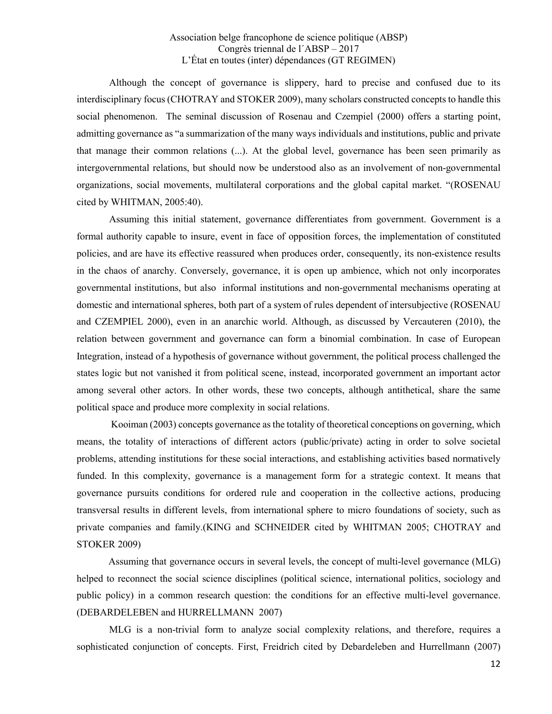Although the concept of governance is slippery, hard to precise and confused due to its interdisciplinary focus (CHOTRAY and STOKER 2009), many scholars constructed concepts to handle this social phenomenon. The seminal discussion of Rosenau and Czempiel (2000) offers a starting point, admitting governance as "a summarization of the many ways individuals and institutions, public and private that manage their common relations (...). At the global level, governance has been seen primarily as intergovernmental relations, but should now be understood also as an involvement of non-governmental organizations, social movements, multilateral corporations and the global capital market. "(ROSENAU cited by WHITMAN, 2005:40).

Assuming this initial statement, governance differentiates from government. Government is a formal authority capable to insure, event in face of opposition forces, the implementation of constituted policies, and are have its effective reassured when produces order, consequently, its non-existence results in the chaos of anarchy. Conversely, governance, it is open up ambience, which not only incorporates governmental institutions, but also informal institutions and non-governmental mechanisms operating at domestic and international spheres, both part of a system of rules dependent of intersubjective (ROSENAU and CZEMPIEL 2000), even in an anarchic world. Although, as discussed by Vercauteren (2010), the relation between government and governance can form a binomial combination. In case of European Integration, instead of a hypothesis of governance without government, the political process challenged the states logic but not vanished it from political scene, instead, incorporated government an important actor among several other actors. In other words, these two concepts, although antithetical, share the same political space and produce more complexity in social relations.

Kooiman (2003) concepts governance as the totality of theoretical conceptions on governing, which means, the totality of interactions of different actors (public/private) acting in order to solve societal problems, attending institutions for these social interactions, and establishing activities based normatively funded. In this complexity, governance is a management form for a strategic context. It means that governance pursuits conditions for ordered rule and cooperation in the collective actions, producing transversal results in different levels, from international sphere to micro foundations of society, such as private companies and family.(KING and SCHNEIDER cited by WHITMAN 2005; CHOTRAY and STOKER 2009)

Assuming that governance occurs in several levels, the concept of multi-level governance (MLG) helped to reconnect the social science disciplines (political science, international politics, sociology and public policy) in a common research question: the conditions for an effective multi-level governance. (DEBARDELEBEN and HURRELLMANN 2007)

MLG is a non-trivial form to analyze social complexity relations, and therefore, requires a sophisticated conjunction of concepts. First, Freidrich cited by Debardeleben and Hurrellmann (2007)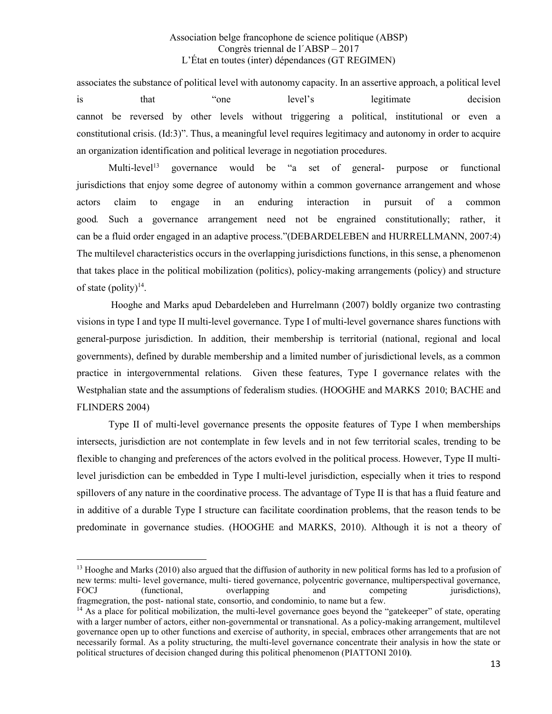associates the substance of political level with autonomy capacity. In an assertive approach, a political level is that "one level's legitimate decision cannot be reversed by other levels without triggering a political, institutional or even a constitutional crisis. (Id:3)". Thus, a meaningful level requires legitimacy and autonomy in order to acquire an organization identification and political leverage in negotiation procedures.

Multi-level13 governance would be "a set of general- purpose or functional jurisdictions that enjoy some degree of autonomy within a common governance arrangement and whose actors claim to engage in an enduring interaction in pursuit of a common good. Such a governance arrangement need not be engrained constitutionally; rather, it can be a fluid order engaged in an adaptive process."(DEBARDELEBEN and HURRELLMANN, 2007:4) The multilevel characteristics occurs in the overlapping jurisdictions functions, in this sense, a phenomenon that takes place in the political mobilization (politics), policy-making arrangements (policy) and structure of state (polity) $14$ .

Hooghe and Marks apud Debardeleben and Hurrelmann (2007) boldly organize two contrasting visions in type I and type II multi-level governance. Type I of multi-level governance shares functions with general-purpose jurisdiction. In addition, their membership is territorial (national, regional and local governments), defined by durable membership and a limited number of jurisdictional levels, as a common practice in intergovernmental relations. Given these features, Type I governance relates with the Westphalian state and the assumptions of federalism studies. (HOOGHE and MARKS 2010; BACHE and FLINDERS 2004)

Type II of multi-level governance presents the opposite features of Type I when memberships intersects, jurisdiction are not contemplate in few levels and in not few territorial scales, trending to be flexible to changing and preferences of the actors evolved in the political process. However, Type II multilevel jurisdiction can be embedded in Type I multi-level jurisdiction, especially when it tries to respond spillovers of any nature in the coordinative process. The advantage of Type II is that has a fluid feature and in additive of a durable Type I structure can facilitate coordination problems, that the reason tends to be predominate in governance studies. (HOOGHE and MARKS, 2010). Although it is not a theory of

1

<sup>&</sup>lt;sup>13</sup> Hooghe and Marks (2010) also argued that the diffusion of authority in new political forms has led to a profusion of new terms: multi- level governance, multi- tiered governance, polycentric governance, multiperspectival governance, FOCJ (functional, overlapping and competing jurisdictions), fragmegration, the post- national state, consortio, and condominio, to name but a few.

 $<sup>14</sup>$  As a place for political mobilization, the multi-level governance goes beyond the "gatekeeper" of state, operating</sup> with a larger number of actors, either non-governmental or transnational. As a policy-making arrangement, multilevel governance open up to other functions and exercise of authority, in special, embraces other arrangements that are not necessarily formal. As a polity structuring, the multi-level governance concentrate their analysis in how the state or political structures of decision changed during this political phenomenon (PIATTONI 2010).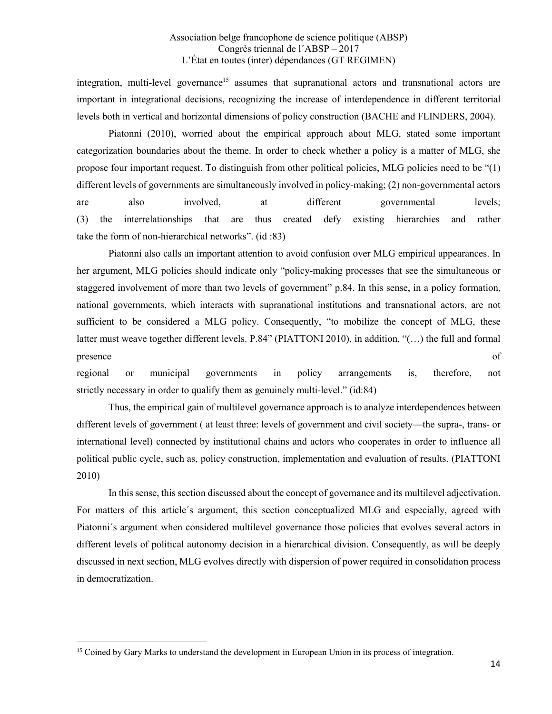integration, multi-level governance<sup>15</sup> assumes that supranational actors and transnational actors are important in integrational decisions, recognizing the increase of interdependence in different territorial levels both in vertical and horizontal dimensions of policy construction (BACHE and FLINDERS, 2004).

Piatonni (2010), worried about the empirical approach about MLG, stated some important categorization boundaries about the theme. In order to check whether a policy is a matter of MLG, she propose four important request. To distinguish from other political policies, MLG policies need to be "(1) different levels of governments are simultaneously involved in policy-making; (2) non-governmental actors are also involved, at different governmental levels; (3) the interrelationships that are thus created defy existing hierarchies and rather take the form of non-hierarchical networks". (id :83)

Piatonni also calls an important attention to avoid confusion over MLG empirical appearances. In her argument, MLG policies should indicate only "policy-making processes that see the simultaneous or staggered involvement of more than two levels of government" p.84. In this sense, in a policy formation, national governments, which interacts with supranational institutions and transnational actors, are not sufficient to be considered a MLG policy. Consequently, "to mobilize the concept of MLG, these latter must weave together different levels. P.84" (PIATTONI 2010), in addition, "(…) the full and formal presence of  $\overline{a}$ 

regional or municipal governments in policy arrangements is, therefore, not strictly necessary in order to qualify them as genuinely multi-level." (id:84)

Thus, the empirical gain of multilevel governance approach is to analyze interdependences between different levels of government ( at least three: levels of government and civil society—the supra-, trans- or international level) connected by institutional chains and actors who cooperates in order to influence all political public cycle, such as, policy construction, implementation and evaluation of results. (PIATTONI 2010)

In this sense, this section discussed about the concept of governance and its multilevel adjectivation. For matters of this article´s argument, this section conceptualized MLG and especially, agreed with Piatonni´s argument when considered multilevel governance those policies that evolves several actors in different levels of political autonomy decision in a hierarchical division. Consequently, as will be deeply discussed in next section, MLG evolves directly with dispersion of power required in consolidation process in democratization.

<sup>&</sup>lt;sup>15</sup> Coined by Gary Marks to understand the development in European Union in its process of integration.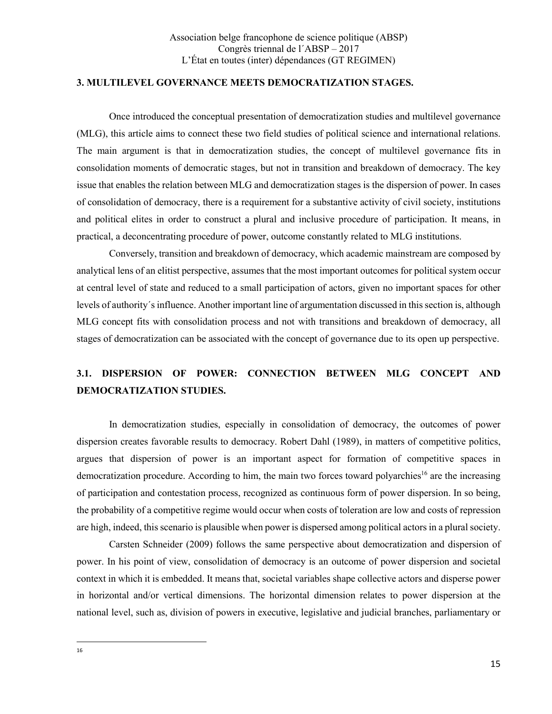#### 3. MULTILEVEL GOVERNANCE MEETS DEMOCRATIZATION STAGES.

Once introduced the conceptual presentation of democratization studies and multilevel governance (MLG), this article aims to connect these two field studies of political science and international relations. The main argument is that in democratization studies, the concept of multilevel governance fits in consolidation moments of democratic stages, but not in transition and breakdown of democracy. The key issue that enables the relation between MLG and democratization stages is the dispersion of power. In cases of consolidation of democracy, there is a requirement for a substantive activity of civil society, institutions and political elites in order to construct a plural and inclusive procedure of participation. It means, in practical, a deconcentrating procedure of power, outcome constantly related to MLG institutions.

Conversely, transition and breakdown of democracy, which academic mainstream are composed by analytical lens of an elitist perspective, assumes that the most important outcomes for political system occur at central level of state and reduced to a small participation of actors, given no important spaces for other levels of authority´s influence. Another important line of argumentation discussed in this section is, although MLG concept fits with consolidation process and not with transitions and breakdown of democracy, all stages of democratization can be associated with the concept of governance due to its open up perspective.

# 3.1. DISPERSION OF POWER: CONNECTION BETWEEN MLG CONCEPT AND DEMOCRATIZATION STUDIES.

In democratization studies, especially in consolidation of democracy, the outcomes of power dispersion creates favorable results to democracy. Robert Dahl (1989), in matters of competitive politics, argues that dispersion of power is an important aspect for formation of competitive spaces in democratization procedure. According to him, the main two forces toward polyarchies<sup>16</sup> are the increasing of participation and contestation process, recognized as continuous form of power dispersion. In so being, the probability of a competitive regime would occur when costs of toleration are low and costs of repression are high, indeed, this scenario is plausible when power is dispersed among political actors in a plural society.

Carsten Schneider (2009) follows the same perspective about democratization and dispersion of power. In his point of view, consolidation of democracy is an outcome of power dispersion and societal context in which it is embedded. It means that, societal variables shape collective actors and disperse power in horizontal and/or vertical dimensions. The horizontal dimension relates to power dispersion at the national level, such as, division of powers in executive, legislative and judicial branches, parliamentary or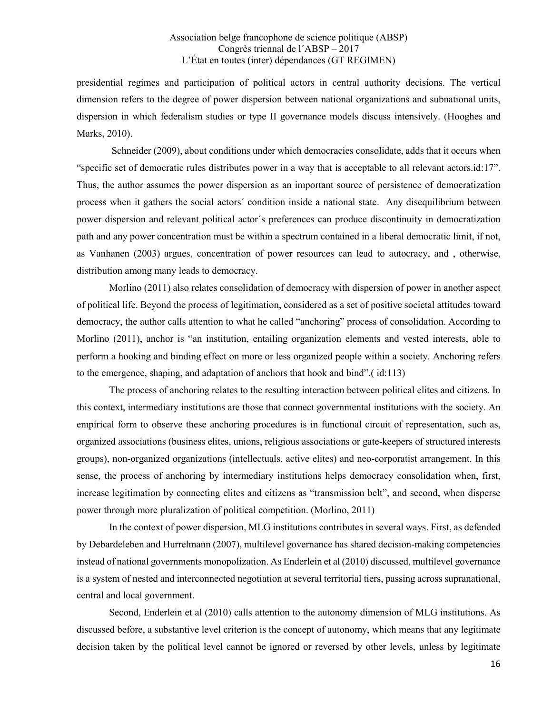presidential regimes and participation of political actors in central authority decisions. The vertical dimension refers to the degree of power dispersion between national organizations and subnational units, dispersion in which federalism studies or type II governance models discuss intensively. (Hooghes and Marks, 2010).

Schneider (2009), about conditions under which democracies consolidate, adds that it occurs when "specific set of democratic rules distributes power in a way that is acceptable to all relevant actors.id:17". Thus, the author assumes the power dispersion as an important source of persistence of democratization process when it gathers the social actors´ condition inside a national state. Any disequilibrium between power dispersion and relevant political actor´s preferences can produce discontinuity in democratization path and any power concentration must be within a spectrum contained in a liberal democratic limit, if not, as Vanhanen (2003) argues, concentration of power resources can lead to autocracy, and , otherwise, distribution among many leads to democracy.

Morlino (2011) also relates consolidation of democracy with dispersion of power in another aspect of political life. Beyond the process of legitimation, considered as a set of positive societal attitudes toward democracy, the author calls attention to what he called "anchoring" process of consolidation. According to Morlino (2011), anchor is "an institution, entailing organization elements and vested interests, able to perform a hooking and binding effect on more or less organized people within a society. Anchoring refers to the emergence, shaping, and adaptation of anchors that hook and bind".( id:113)

The process of anchoring relates to the resulting interaction between political elites and citizens. In this context, intermediary institutions are those that connect governmental institutions with the society. An empirical form to observe these anchoring procedures is in functional circuit of representation, such as, organized associations (business elites, unions, religious associations or gate-keepers of structured interests groups), non-organized organizations (intellectuals, active elites) and neo-corporatist arrangement. In this sense, the process of anchoring by intermediary institutions helps democracy consolidation when, first, increase legitimation by connecting elites and citizens as "transmission belt", and second, when disperse power through more pluralization of political competition. (Morlino, 2011)

In the context of power dispersion, MLG institutions contributes in several ways. First, as defended by Debardeleben and Hurrelmann (2007), multilevel governance has shared decision-making competencies instead of national governments monopolization. As Enderlein et al (2010) discussed, multilevel governance is a system of nested and interconnected negotiation at several territorial tiers, passing across supranational, central and local government.

Second, Enderlein et al (2010) calls attention to the autonomy dimension of MLG institutions. As discussed before, a substantive level criterion is the concept of autonomy, which means that any legitimate decision taken by the political level cannot be ignored or reversed by other levels, unless by legitimate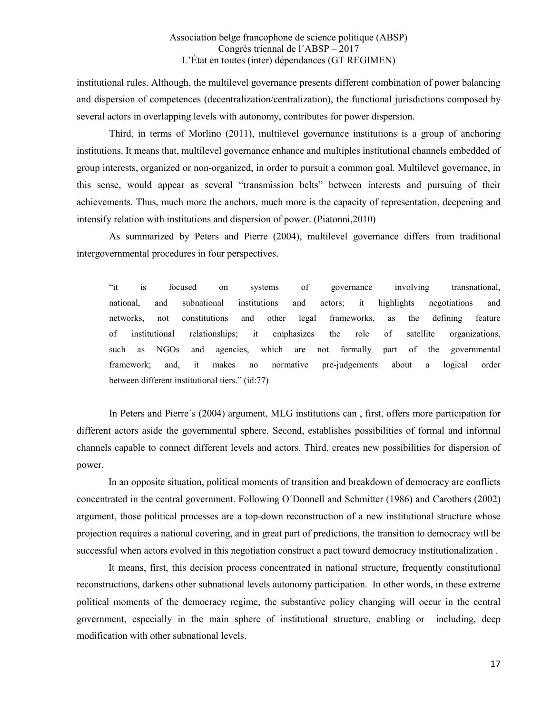institutional rules. Although, the multilevel governance presents different combination of power balancing and dispersion of competences (decentralization/centralization), the functional jurisdictions composed by several actors in overlapping levels with autonomy, contributes for power dispersion.

Third, in terms of Morlino (2011), multilevel governance institutions is a group of anchoring institutions. It means that, multilevel governance enhance and multiples institutional channels embedded of group interests, organized or non-organized, in order to pursuit a common goal. Multilevel governance, in this sense, would appear as several "transmission belts" between interests and pursuing of their achievements. Thus, much more the anchors, much more is the capacity of representation, deepening and intensify relation with institutions and dispersion of power. (Piatonni,2010)

As summarized by Peters and Pierre (2004), multilevel governance differs from traditional intergovernmental procedures in four perspectives.

"it is focused on systems of governance involving transnational, national, and subnational institutions and actors; it highlights negotiations and networks, not constitutions and other legal frameworks, as the defining feature of institutional relationships; it emphasizes the role of satellite organizations, such as NGOs and agencies, which are not formally part of the governmental framework; and, it makes no normative pre-judgements about a logical order between different institutional tiers." (id:77)

In Peters and Pierre´s (2004) argument, MLG institutions can , first, offers more participation for different actors aside the governmental sphere. Second, establishes possibilities of formal and informal channels capable to connect different levels and actors. Third, creates new possibilities for dispersion of power.

In an opposite situation, political moments of transition and breakdown of democracy are conflicts concentrated in the central government. Following O´Donnell and Schmitter (1986) and Carothers (2002) argument, those political processes are a top-down reconstruction of a new institutional structure whose projection requires a national covering, and in great part of predictions, the transition to democracy will be successful when actors evolved in this negotiation construct a pact toward democracy institutionalization .

It means, first, this decision process concentrated in national structure, frequently constitutional reconstructions, darkens other subnational levels autonomy participation. In other words, in these extreme political moments of the democracy regime, the substantive policy changing will occur in the central government, especially in the main sphere of institutional structure, enabling or including, deep modification with other subnational levels.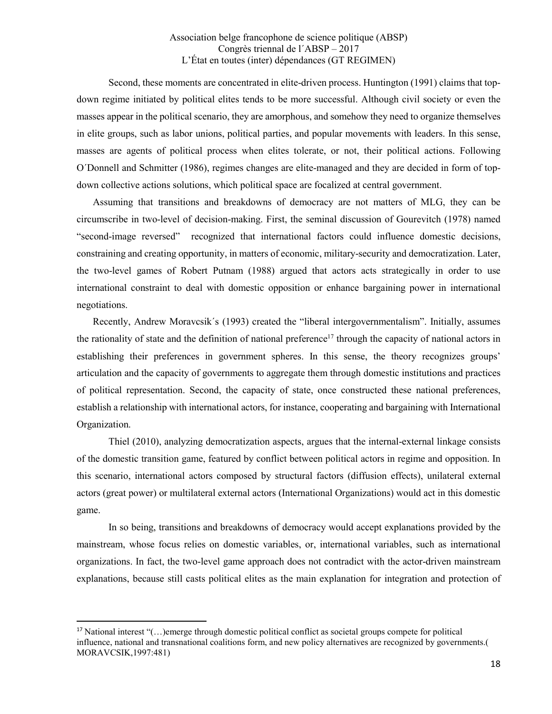Second, these moments are concentrated in elite-driven process. Huntington (1991) claims that topdown regime initiated by political elites tends to be more successful. Although civil society or even the masses appear in the political scenario, they are amorphous, and somehow they need to organize themselves in elite groups, such as labor unions, political parties, and popular movements with leaders. In this sense, masses are agents of political process when elites tolerate, or not, their political actions. Following O´Donnell and Schmitter (1986), regimes changes are elite-managed and they are decided in form of topdown collective actions solutions, which political space are focalized at central government.

Assuming that transitions and breakdowns of democracy are not matters of MLG, they can be circumscribe in two-level of decision-making. First, the seminal discussion of Gourevitch (1978) named "second-image reversed" recognized that international factors could influence domestic decisions, constraining and creating opportunity, in matters of economic, military-security and democratization. Later, the two-level games of Robert Putnam (1988) argued that actors acts strategically in order to use international constraint to deal with domestic opposition or enhance bargaining power in international negotiations.

Recently, Andrew Moravcsik´s (1993) created the "liberal intergovernmentalism". Initially, assumes the rationality of state and the definition of national preference<sup>17</sup> through the capacity of national actors in establishing their preferences in government spheres. In this sense, the theory recognizes groups' articulation and the capacity of governments to aggregate them through domestic institutions and practices of political representation. Second, the capacity of state, once constructed these national preferences, establish a relationship with international actors, for instance, cooperating and bargaining with International Organization.

Thiel (2010), analyzing democratization aspects, argues that the internal-external linkage consists of the domestic transition game, featured by conflict between political actors in regime and opposition. In this scenario, international actors composed by structural factors (diffusion effects), unilateral external actors (great power) or multilateral external actors (International Organizations) would act in this domestic game.

In so being, transitions and breakdowns of democracy would accept explanations provided by the mainstream, whose focus relies on domestic variables, or, international variables, such as international organizations. In fact, the two-level game approach does not contradict with the actor-driven mainstream explanations, because still casts political elites as the main explanation for integration and protection of

 <sup>17</sup> National interest "(…)emerge through domestic political conflict as societal groups compete for political influence, national and transnational coalitions form, and new policy alternatives are recognized by governments.( MORAVCSIK,1997:481)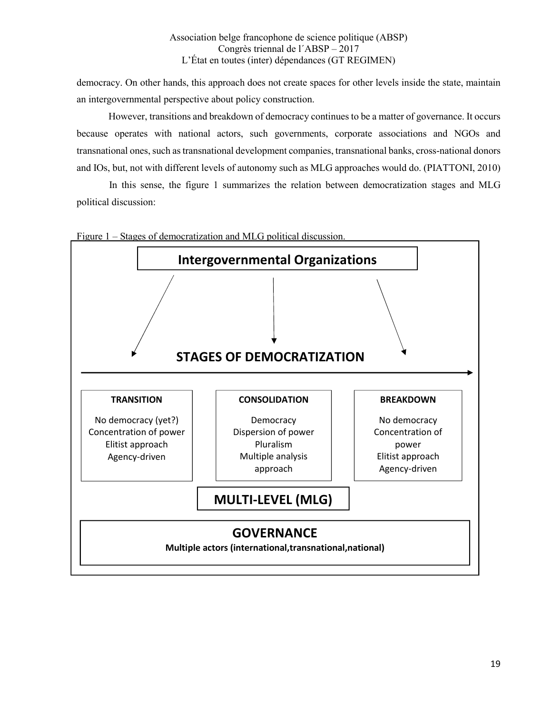democracy. On other hands, this approach does not create spaces for other levels inside the state, maintain an intergovernmental perspective about policy construction.

However, transitions and breakdown of democracy continues to be a matter of governance. It occurs because operates with national actors, such governments, corporate associations and NGOs and transnational ones, such as transnational development companies, transnational banks, cross-national donors and IOs, but, not with different levels of autonomy such as MLG approaches would do. (PIATTONI, 2010)

In this sense, the figure 1 summarizes the relation between democratization stages and MLG political discussion:



Figure 1 – Stages of democratization and MLG political discussion.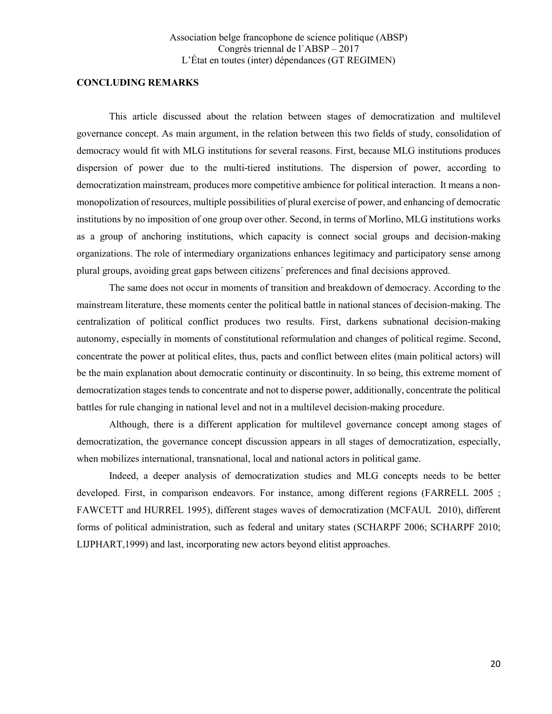#### CONCLUDING REMARKS

This article discussed about the relation between stages of democratization and multilevel governance concept. As main argument, in the relation between this two fields of study, consolidation of democracy would fit with MLG institutions for several reasons. First, because MLG institutions produces dispersion of power due to the multi-tiered institutions. The dispersion of power, according to democratization mainstream, produces more competitive ambience for political interaction. It means a nonmonopolization of resources, multiple possibilities of plural exercise of power, and enhancing of democratic institutions by no imposition of one group over other. Second, in terms of Morlino, MLG institutions works as a group of anchoring institutions, which capacity is connect social groups and decision-making organizations. The role of intermediary organizations enhances legitimacy and participatory sense among plural groups, avoiding great gaps between citizens´ preferences and final decisions approved.

The same does not occur in moments of transition and breakdown of democracy. According to the mainstream literature, these moments center the political battle in national stances of decision-making. The centralization of political conflict produces two results. First, darkens subnational decision-making autonomy, especially in moments of constitutional reformulation and changes of political regime. Second, concentrate the power at political elites, thus, pacts and conflict between elites (main political actors) will be the main explanation about democratic continuity or discontinuity. In so being, this extreme moment of democratization stages tends to concentrate and not to disperse power, additionally, concentrate the political battles for rule changing in national level and not in a multilevel decision-making procedure.

Although, there is a different application for multilevel governance concept among stages of democratization, the governance concept discussion appears in all stages of democratization, especially, when mobilizes international, transnational, local and national actors in political game.

Indeed, a deeper analysis of democratization studies and MLG concepts needs to be better developed. First, in comparison endeavors. For instance, among different regions (FARRELL 2005 ; FAWCETT and HURREL 1995), different stages waves of democratization (MCFAUL 2010), different forms of political administration, such as federal and unitary states (SCHARPF 2006; SCHARPF 2010; LIJPHART,1999) and last, incorporating new actors beyond elitist approaches.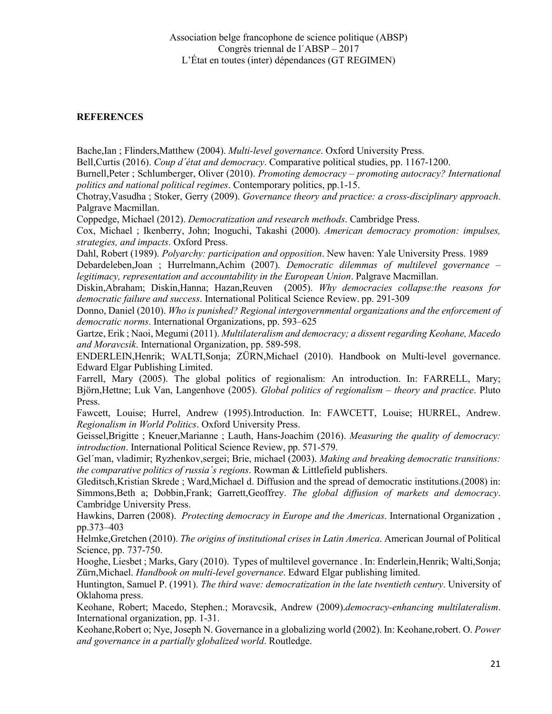## **REFERENCES**

Bache,Ian ; Flinders,Matthew (2004). Multi-level governance. Oxford University Press.

Bell,Curtis (2016). Coup d'état and democracy. Comparative political studies, pp. 1167-1200.

Burnell,Peter ; Schlumberger, Oliver (2010). Promoting democracy – promoting autocracy? International politics and national political regimes. Contemporary politics, pp.1-15.

Chotray,Vasudha ; Stoker, Gerry (2009). Governance theory and practice: a cross-disciplinary approach. Palgrave Macmillan.

Coppedge, Michael (2012). Democratization and research methods. Cambridge Press.

Cox, Michael ; Ikenberry, John; Inoguchi, Takashi (2000). American democracy promotion: impulses, strategies, and impacts. Oxford Press.

Dahl, Robert (1989). Polyarchy: participation and opposition. New haven: Yale University Press. 1989

Debardeleben,Joan ; Hurrelmann,Achim (2007). Democratic dilemmas of multilevel governance – legitimacy, representation and accountability in the European Union. Palgrave Macmillan.

Diskin,Abraham; Diskin,Hanna; Hazan,Reuven (2005). Why democracies collapse:the reasons for democratic failure and success. International Political Science Review. pp. 291-309

Donno, Daniel (2010). Who is punished? Regional intergovernmental organizations and the enforcement of democratic norms. International Organizations, pp. 593–625

Gartze, Erik ; Naoi, Megumi (2011). Multilateralism and democracy; a dissent regarding Keohane, Macedo and Moravcsik. International Organization, pp. 589-598.

ENDERLEIN,Henrik; WALTI,Sonja; ZÜRN,Michael (2010). Handbook on Multi-level governance. Edward Elgar Publishing Limited.

Farrell, Mary (2005). The global politics of regionalism: An introduction. In: FARRELL, Mary; Björn,Hettne; Luk Van, Langenhove (2005). Global politics of regionalism – theory and practice. Pluto Press.

Fawcett, Louise; Hurrel, Andrew (1995).Introduction. In: FAWCETT, Louise; HURREL, Andrew. Regionalism in World Politics. Oxford University Press.

Geissel, Brigitte ; Kneuer, Marianne ; Lauth, Hans-Joachim (2016). Measuring the quality of democracy: introduction. International Political Science Review, pp. 571-579.

Gel'man, vladimir; Ryzhenkov, sergei; Brie, michael (2003). Making and breaking democratic transitions: the comparative politics of russia´s regions. Rowman & Littlefield publishers.

Gleditsch,Kristian Skrede ; Ward,Michael d. Diffusion and the spread of democratic institutions.(2008) in: Simmons, Beth a: Dobbin, Frank: Garrett, Geoffrey. The global diffusion of markets and democracy. Cambridge University Press.

Hawkins, Darren (2008). Protecting democracy in Europe and the Americas. International Organization , pp.373–403

Helmke,Gretchen (2010). The origins of institutional crises in Latin America. American Journal of Political Science, pp. 737-750.

Hooghe, Liesbet ; Marks, Gary (2010). Types of multilevel governance . In: Enderlein,Henrik; Walti,Sonja; Zürn,Michael. Handbook on multi-level governance. Edward Elgar publishing limited.

Huntington, Samuel P. (1991). The third wave: democratization in the late twentieth century. University of Oklahoma press.

Keohane, Robert; Macedo, Stephen.; Moravcsik, Andrew (2009).*democracy-enhancing multilateralism*. International organization, pp. 1-31.

Keohane,Robert o; Nye, Joseph N. Governance in a globalizing world (2002). In: Keohane,robert. O. Power and governance in a partially globalized world. Routledge.